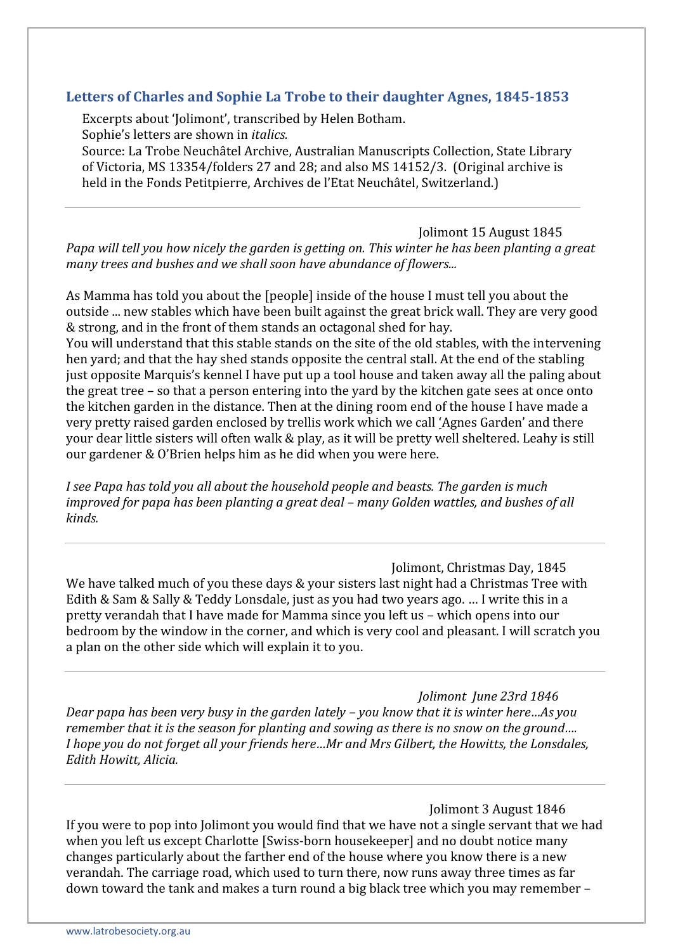# **Letters of Charles and Sophie La Trobe to their daughter Agnes, 1845-1853**

Excerpts about 'Jolimont', transcribed by Helen Botham. Sophie's letters are shown in *italics.*

Source: La Trobe Neuchâtel Archive, Australian Manuscripts Collection, State Library of Victoria, MS 13354/folders 27 and 28; and also MS 14152/3. (Original archive is held in the Fonds Petitpierre, Archives de l'Etat Neuchâtel, Switzerland.)

Jolimont 15 August 1845 *Papa will tell you how nicely the garden is getting on. This winter he has been planting a great many trees and bushes and we shall soon have abundance of flowers...*

As Mamma has told you about the [people] inside of the house I must tell you about the outside ... new stables which have been built against the great brick wall. They are very good & strong, and in the front of them stands an octagonal shed for hay.

You will understand that this stable stands on the site of the old stables, with the intervening hen yard; and that the hay shed stands opposite the central stall. At the end of the stabling just opposite Marquis's kennel I have put up a tool house and taken away all the paling about the great tree – so that a person entering into the yard by the kitchen gate sees at once onto the kitchen garden in the distance. Then at the dining room end of the house I have made a very pretty raised garden enclosed by trellis work which we call 'Agnes Garden' and there your dear little sisters will often walk & play, as it will be pretty well sheltered. Leahy is still our gardener & O'Brien helps him as he did when you were here.

*I see Papa has told you all about the household people and beasts. The garden is much improved for papa has been planting a great deal – many Golden wattles, and bushes of all kinds.*

#### Jolimont, Christmas Day, 1845

We have talked much of you these days & your sisters last night had a Christmas Tree with Edith & Sam & Sally & Teddy Lonsdale, just as you had two years ago. … I write this in a pretty verandah that I have made for Mamma since you left us – which opens into our bedroom by the window in the corner, and which is very cool and pleasant. I will scratch you a plan on the other side which will explain it to you.

*Jolimont June 23rd 1846 Dear papa has been very busy in the garden lately – you know that it is winter here…As you remember that it is the season for planting and sowing as there is no snow on the ground…. I hope you do not forget all your friends here…Mr and Mrs Gilbert, the Howitts, the Lonsdales, Edith Howitt, Alicia.*

Jolimont 3 August 1846 If you were to pop into Jolimont you would find that we have not a single servant that we had when you left us except Charlotte [Swiss-born housekeeper] and no doubt notice many changes particularly about the farther end of the house where you know there is a new verandah. The carriage road, which used to turn there, now runs away three times as far down toward the tank and makes a turn round a big black tree which you may remember –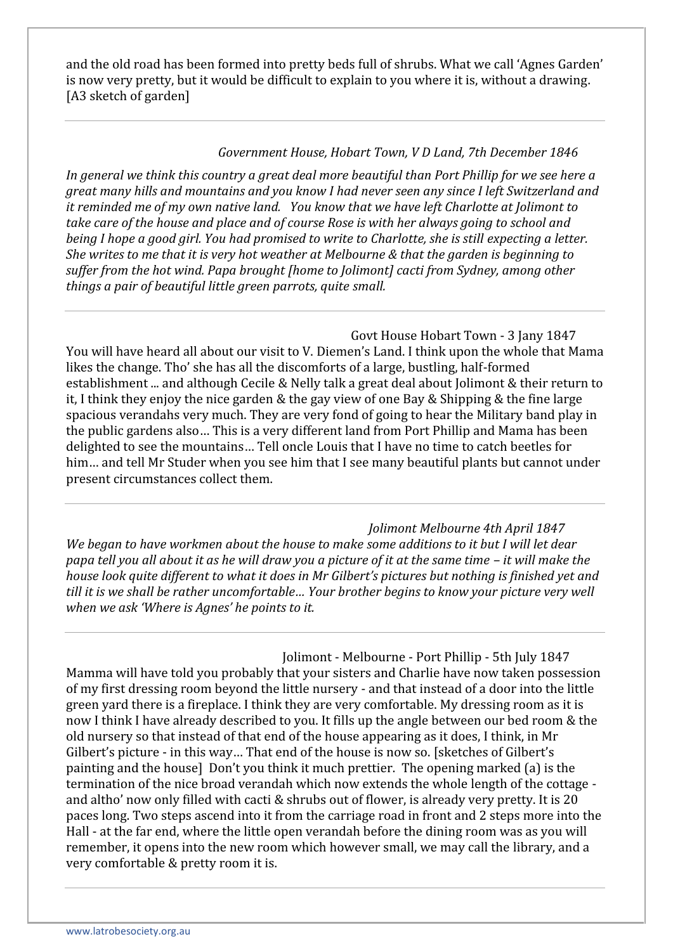and the old road has been formed into pretty beds full of shrubs. What we call 'Agnes Garden' is now very pretty, but it would be difficult to explain to you where it is, without a drawing. [A3 sketch of garden]

# *Government House, Hobart Town, V D Land, 7th December 1846*

*In general we think this country a great deal more beautiful than Port Phillip for we see here a great many hills and mountains and you know I had never seen any since I left Switzerland and it reminded me of my own native land. You know that we have left Charlotte at Jolimont to take care of the house and place and of course Rose is with her always going to school and being I hope a good girl. You had promised to write to Charlotte, she is still expecting a letter. She writes to me that it is very hot weather at Melbourne & that the garden is beginning to suffer from the hot wind. Papa brought [home to Jolimont] cacti from Sydney, among other things a pair of beautiful little green parrots, quite small.*

Govt House Hobart Town - 3 Jany 1847 You will have heard all about our visit to V. Diemen's Land. I think upon the whole that Mama likes the change. Tho' she has all the discomforts of a large, bustling, half-formed establishment ... and although Cecile & Nelly talk a great deal about Jolimont & their return to it, I think they enjoy the nice garden & the gay view of one Bay & Shipping & the fine large spacious verandahs very much. They are very fond of going to hear the Military band play in the public gardens also… This is a very different land from Port Phillip and Mama has been delighted to see the mountains… Tell oncle Louis that I have no time to catch beetles for him… and tell Mr Studer when you see him that I see many beautiful plants but cannot under present circumstances collect them.

*Jolimont Melbourne 4th April 1847 We began to have workmen about the house to make some additions to it but I will let dear papa tell you all about it as he will draw you a picture of it at the same time – it will make the house look quite different to what it does in Mr Gilbert's pictures but nothing is finished yet and till it is we shall be rather uncomfortable… Your brother begins to know your picture very well when we ask 'Where is Agnes' he points to it.*

Jolimont - Melbourne - Port Phillip - 5th July 1847 Mamma will have told you probably that your sisters and Charlie have now taken possession of my first dressing room beyond the little nursery - and that instead of a door into the little green yard there is a fireplace. I think they are very comfortable. My dressing room as it is now I think I have already described to you. It fills up the angle between our bed room & the old nursery so that instead of that end of the house appearing as it does, I think, in Mr Gilbert's picture - in this way… That end of the house is now so. [sketches of Gilbert's painting and the house] Don't you think it much prettier. The opening marked (a) is the termination of the nice broad verandah which now extends the whole length of the cottage and altho' now only filled with cacti & shrubs out of flower, is already very pretty. It is 20 paces long. Two steps ascend into it from the carriage road in front and 2 steps more into the Hall - at the far end, where the little open verandah before the dining room was as you will remember, it opens into the new room which however small, we may call the library, and a very comfortable & pretty room it is.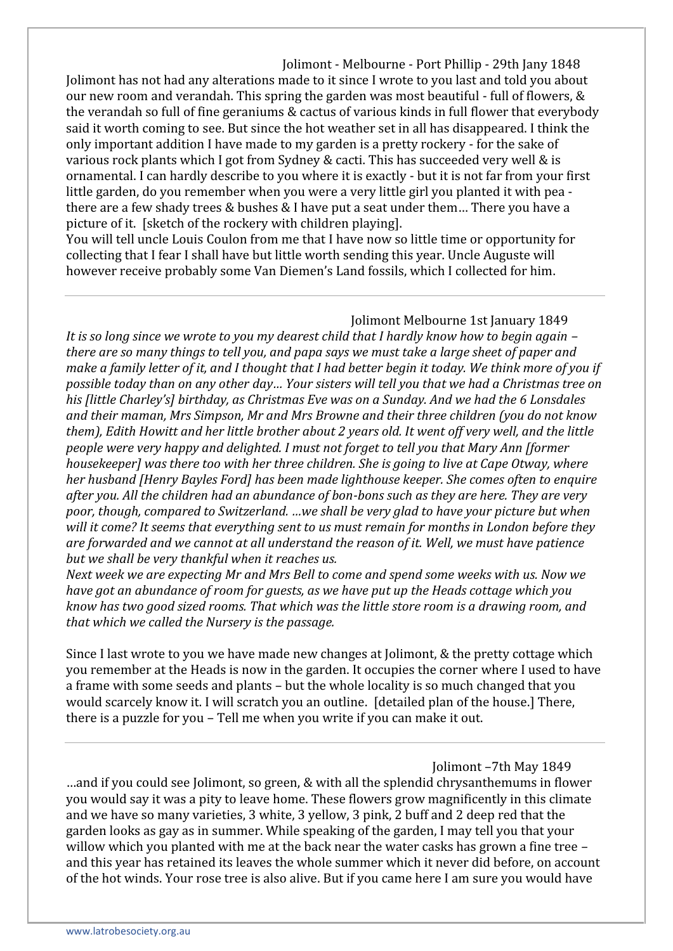Jolimont - Melbourne - Port Phillip - 29th Jany 1848 Jolimont has not had any alterations made to it since I wrote to you last and told you about our new room and verandah. This spring the garden was most beautiful - full of flowers, & the verandah so full of fine geraniums & cactus of various kinds in full flower that everybody said it worth coming to see. But since the hot weather set in all has disappeared. I think the only important addition I have made to my garden is a pretty rockery - for the sake of various rock plants which I got from Sydney & cacti. This has succeeded very well & is ornamental. I can hardly describe to you where it is exactly - but it is not far from your first little garden, do you remember when you were a very little girl you planted it with pea there are a few shady trees & bushes & I have put a seat under them… There you have a picture of it. [sketch of the rockery with children playing].

You will tell uncle Louis Coulon from me that I have now so little time or opportunity for collecting that I fear I shall have but little worth sending this year. Uncle Auguste will however receive probably some Van Diemen's Land fossils, which I collected for him.

### Jolimont Melbourne 1st January 1849

*It is so long since we wrote to you my dearest child that I hardly know how to begin again – there are so many things to tell you, and papa says we must take a large sheet of paper and make a family letter of it, and I thought that I had better begin it today. We think more of you if possible today than on any other day… Your sisters will tell you that we had a Christmas tree on his [little Charley's] birthday, as Christmas Eve was on a Sunday. And we had the 6 Lonsdales and their maman, Mrs Simpson, Mr and Mrs Browne and their three children (you do not know them), Edith Howitt and her little brother about 2 years old. It went off very well, and the little people were very happy and delighted. I must not forget to tell you that Mary Ann [former housekeeper] was there too with her three children. She is going to live at Cape Otway, where her husband [Henry Bayles Ford] has been made lighthouse keeper. She comes often to enquire after you. All the children had an abundance of bon-bons such as they are here. They are very poor, though, compared to Switzerland. …we shall be very glad to have your picture but when will it come? It seems that everything sent to us must remain for months in London before they are forwarded and we cannot at all understand the reason of it. Well, we must have patience but we shall be very thankful when it reaches us.*

*Next week we are expecting Mr and Mrs Bell to come and spend some weeks with us. Now we have got an abundance of room for guests, as we have put up the Heads cottage which you know has two good sized rooms. That which was the little store room is a drawing room, and that which we called the Nursery is the passage.*

Since I last wrote to you we have made new changes at Jolimont, & the pretty cottage which you remember at the Heads is now in the garden. It occupies the corner where I used to have a frame with some seeds and plants – but the whole locality is so much changed that you would scarcely know it. I will scratch you an outline. [detailed plan of the house.] There, there is a puzzle for you – Tell me when you write if you can make it out.

Jolimont –7th May 1849

…and if you could see Jolimont, so green, & with all the splendid chrysanthemums in flower you would say it was a pity to leave home. These flowers grow magnificently in this climate and we have so many varieties, 3 white, 3 yellow, 3 pink, 2 buff and 2 deep red that the garden looks as gay as in summer. While speaking of the garden, I may tell you that your willow which you planted with me at the back near the water casks has grown a fine tree – and this year has retained its leaves the whole summer which it never did before, on account of the hot winds. Your rose tree is also alive. But if you came here I am sure you would have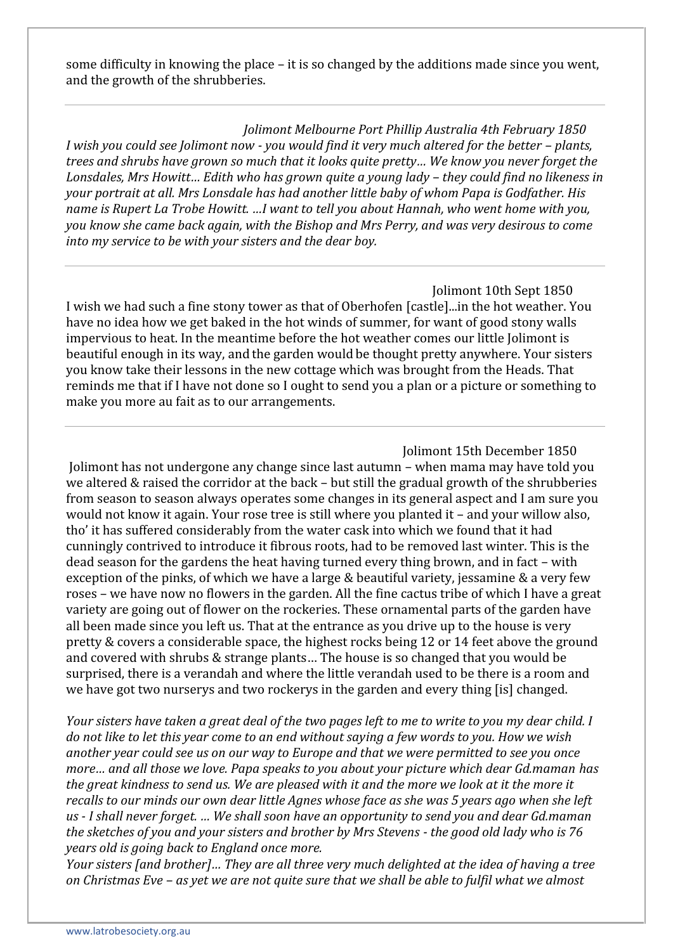some difficulty in knowing the place – it is so changed by the additions made since you went, and the growth of the shrubberies.

*Jolimont Melbourne Port Phillip Australia 4th February 1850 I wish you could see Jolimont now - you would find it very much altered for the better – plants, trees and shrubs have grown so much that it looks quite pretty… We know you never forget the Lonsdales, Mrs Howitt… Edith who has grown quite a young lady – they could find no likeness in your portrait at all. Mrs Lonsdale has had another little baby of whom Papa is Godfather. His name is Rupert La Trobe Howitt. …I want to tell you about Hannah, who went home with you, you know she came back again, with the Bishop and Mrs Perry, and was very desirous to come into my service to be with your sisters and the dear boy.*

Jolimont 10th Sept 1850 I wish we had such a fine stony tower as that of Oberhofen [castle]...in the hot weather. You have no idea how we get baked in the hot winds of summer, for want of good stony walls impervious to heat. In the meantime before the hot weather comes our little Jolimont is beautiful enough in its way, and the garden would be thought pretty anywhere. Your sisters you know take their lessons in the new cottage which was brought from the Heads. That reminds me that if I have not done so I ought to send you a plan or a picture or something to make you more au fait as to our arrangements.

Jolimont 15th December 1850 Jolimont has not undergone any change since last autumn – when mama may have told you we altered & raised the corridor at the back – but still the gradual growth of the shrubberies from season to season always operates some changes in its general aspect and I am sure you would not know it again. Your rose tree is still where you planted it – and your willow also, tho' it has suffered considerably from the water cask into which we found that it had cunningly contrived to introduce it fibrous roots, had to be removed last winter. This is the dead season for the gardens the heat having turned every thing brown, and in fact – with exception of the pinks, of which we have a large & beautiful variety, jessamine & a very few roses – we have now no flowers in the garden. All the fine cactus tribe of which I have a great variety are going out of flower on the rockeries. These ornamental parts of the garden have all been made since you left us. That at the entrance as you drive up to the house is very pretty & covers a considerable space, the highest rocks being 12 or 14 feet above the ground and covered with shrubs & strange plants… The house is so changed that you would be surprised, there is a verandah and where the little verandah used to be there is a room and we have got two nurserys and two rockerys in the garden and every thing [is] changed.

*Your sisters have taken a great deal of the two pages left to me to write to you my dear child. I do not like to let this year come to an end without saying a few words to you. How we wish another year could see us on our way to Europe and that we were permitted to see you once more… and all those we love. Papa speaks to you about your picture which dear Gd.maman has the great kindness to send us. We are pleased with it and the more we look at it the more it recalls to our minds our own dear little Agnes whose face as she was 5 years ago when she left us - I shall never forget. … We shall soon have an opportunity to send you and dear Gd.maman the sketches of you and your sisters and brother by Mrs Stevens - the good old lady who is 76 years old is going back to England once more.*

*Your sisters [and brother]… They are all three very much delighted at the idea of having a tree on Christmas Eve – as yet we are not quite sure that we shall be able to fulfil what we almost*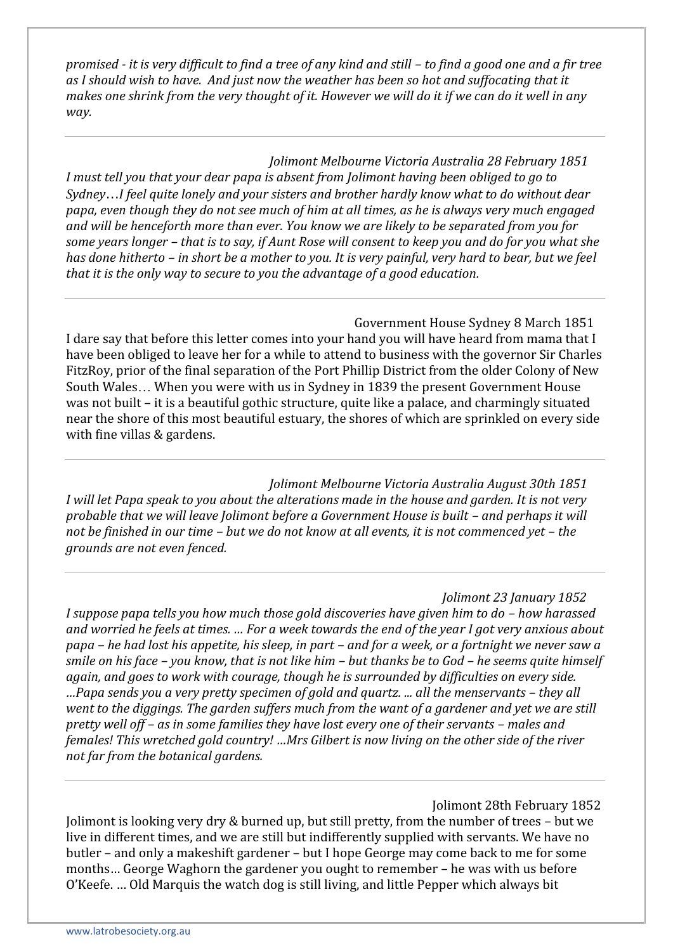*promised - it is very difficult to find a tree of any kind and still – to find a good one and a fir tree as I should wish to have. And just now the weather has been so hot and suffocating that it makes one shrink from the very thought of it. However we will do it if we can do it well in any way.*

*Jolimont Melbourne Victoria Australia 28 February 1851 I must tell you that your dear papa is absent from Jolimont having been obliged to go to SydneyI feel quite lonely and your sisters and brother hardly know what to do without dear papa, even though they do not see much of him at all times, as he is always very much engaged and will be henceforth more than ever. You know we are likely to be separated from you for some years longer – that is to say, if Aunt Rose will consent to keep you and do for you what she has done hitherto – in short be a mother to you. It is very painful, very hard to bear, but we feel that it is the only way to secure to you the advantage of a good education.*

Government House Sydney 8 March 1851 I dare say that before this letter comes into your hand you will have heard from mama that I have been obliged to leave her for a while to attend to business with the governor Sir Charles FitzRoy, prior of the final separation of the Port Phillip District from the older Colony of New South Wales... When you were with us in Sydney in 1839 the present Government House was not built – it is a beautiful gothic structure, quite like a palace, and charmingly situated near the shore of this most beautiful estuary, the shores of which are sprinkled on every side with fine villas & gardens.

*Jolimont Melbourne Victoria Australia August 30th 1851 I will let Papa speak to you about the alterations made in the house and garden. It is not very probable that we will leave Jolimont before a Government House is built – and perhaps it will not be finished in our time – but we do not know at all events, it is not commenced yet – the grounds are not even fenced.*

## *Jolimont 23 January 1852*

*I suppose papa tells you how much those gold discoveries have given him to do – how harassed and worried he feels at times. … For a week towards the end of the year I got very anxious about papa – he had lost his appetite, his sleep, in part – and for a week, or a fortnight we never saw a smile on his face – you know, that is not like him – but thanks be to God – he seems quite himself again, and goes to work with courage, though he is surrounded by difficulties on every side. …Papa sends you a very pretty specimen of gold and quartz. ... all the menservants – they all went to the diggings. The garden suffers much from the want of a gardener and yet we are still pretty well off – as in some families they have lost every one of their servants – males and females! This wretched gold country! …Mrs Gilbert is now living on the other side of the river not far from the botanical gardens.*

Jolimont 28th February 1852

Jolimont is looking very dry & burned up, but still pretty, from the number of trees – but we live in different times, and we are still but indifferently supplied with servants. We have no butler – and only a makeshift gardener – but I hope George may come back to me for some months… George Waghorn the gardener you ought to remember – he was with us before O'Keefe. … Old Marquis the watch dog is still living, and little Pepper which always bit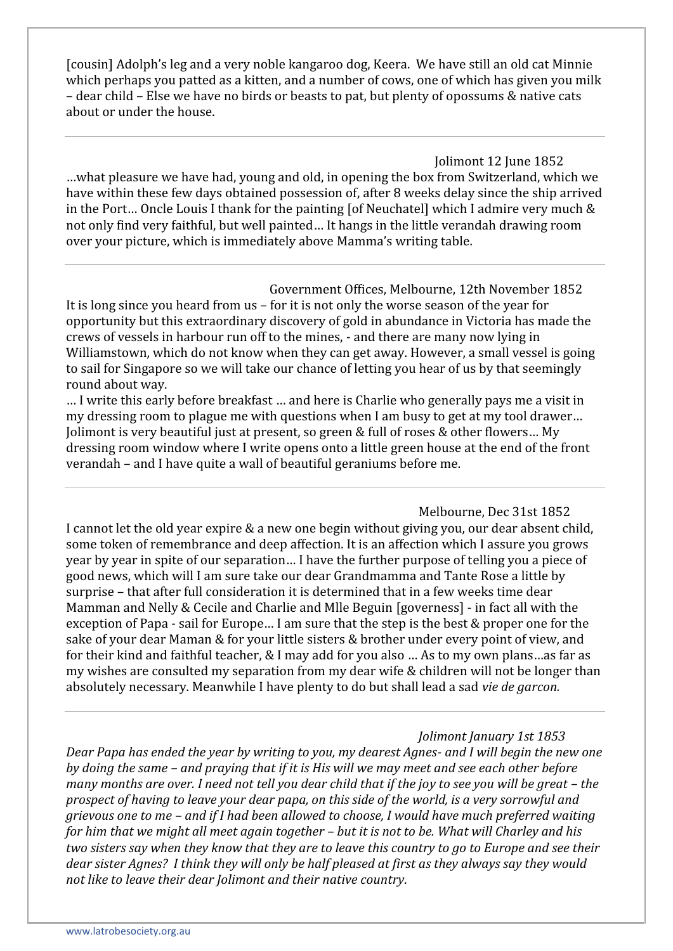[cousin] Adolph's leg and a very noble kangaroo dog, Keera. We have still an old cat Minnie which perhaps you patted as a kitten, and a number of cows, one of which has given you milk – dear child – Else we have no birds or beasts to pat, but plenty of opossums & native cats about or under the house.

Jolimont 12 June 1852 …what pleasure we have had, young and old, in opening the box from Switzerland, which we have within these few days obtained possession of, after 8 weeks delay since the ship arrived in the Port... Oncle Louis I thank for the painting [of Neuchatel] which I admire very much  $\&$ not only find very faithful, but well painted… It hangs in the little verandah drawing room over your picture, which is immediately above Mamma's writing table.

Government Offices, Melbourne, 12th November 1852 It is long since you heard from us – for it is not only the worse season of the year for opportunity but this extraordinary discovery of gold in abundance in Victoria has made the crews of vessels in harbour run off to the mines, - and there are many now lying in Williamstown, which do not know when they can get away. However, a small vessel is going to sail for Singapore so we will take our chance of letting you hear of us by that seemingly round about way.

… I write this early before breakfast … and here is Charlie who generally pays me a visit in my dressing room to plague me with questions when I am busy to get at my tool drawer… Jolimont is very beautiful just at present, so green & full of roses & other flowers… My dressing room window where I write opens onto a little green house at the end of the front verandah – and I have quite a wall of beautiful geraniums before me.

Melbourne, Dec 31st 1852 I cannot let the old year expire & a new one begin without giving you, our dear absent child, some token of remembrance and deep affection. It is an affection which I assure you grows year by year in spite of our separation… I have the further purpose of telling you a piece of good news, which will I am sure take our dear Grandmamma and Tante Rose a little by surprise – that after full consideration it is determined that in a few weeks time dear Mamman and Nelly & Cecile and Charlie and Mlle Beguin [governess] - in fact all with the exception of Papa - sail for Europe… I am sure that the step is the best & proper one for the sake of your dear Maman & for your little sisters & brother under every point of view, and for their kind and faithful teacher, & I may add for you also … As to my own plans…as far as my wishes are consulted my separation from my dear wife & children will not be longer than absolutely necessary. Meanwhile I have plenty to do but shall lead a sad *vie de garcon.*

*Jolimont January 1st 1853*

*Dear Papa has ended the year by writing to you, my dearest Agnes- and I will begin the new one by doing the same – and praying that if it is His will we may meet and see each other before many months are over. I need not tell you dear child that if the joy to see you will be great – the prospect of having to leave your dear papa, on this side of the world, is a very sorrowful and grievous one to me – and if I had been allowed to choose, I would have much preferred waiting for him that we might all meet again together – but it is not to be. What will Charley and his two sisters say when they know that they are to leave this country to go to Europe and see their dear sister Agnes? I think they will only be half pleased at first as they always say they would not like to leave their dear Jolimont and their native country.*